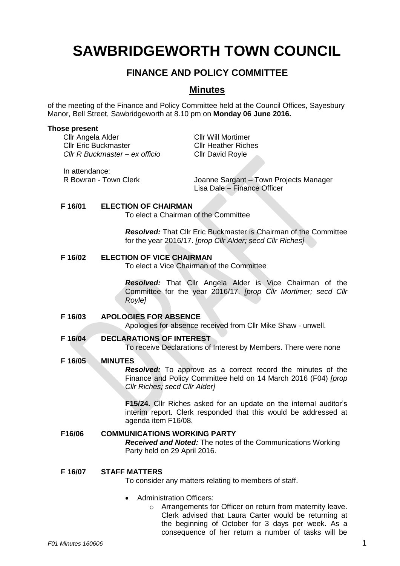# **SAWBRIDGEWORTH TOWN COUNCIL**

# **FINANCE AND POLICY COMMITTEE**

## **Minutes**

of the meeting of the Finance and Policy Committee held at the Council Offices, Sayesbury Manor, Bell Street, Sawbridgeworth at 8.10 pm on **Monday 06 June 2016.**

#### **Those present**

Cllr Angela Alder Cllr Will Mortimer Cllr Eric Buckmaster Cllr Heather Riches *Cllr R Buckmaster – ex officio* Cllr David Royle

In attendance:

R Bowran - Town Clerk **Joanne Sargant – Town Projects Manager** 

Lisa Dale – Finance Officer

#### **F 16/01 ELECTION OF CHAIRMAN**

To elect a Chairman of the Committee

*Resolved:* That Cllr Eric Buckmaster is Chairman of the Committee for the year 2016/17. *[prop Cllr Alder; secd Cllr Riches]*

#### **F 16/02 ELECTION OF VICE CHAIRMAN**

To elect a Vice Chairman of the Committee

*Resolved:* That Cllr Angela Alder is Vice Chairman of the Committee for the year 2016/17. *[prop Cllr Mortimer; secd Cllr Royle]*

#### **F 16/03 APOLOGIES FOR ABSENCE**

Apologies for absence received from Cllr Mike Shaw - unwell.

## **F 16/04 DECLARATIONS OF INTEREST**

To receive Declarations of Interest by Members. There were none

## **F 16/05 MINUTES**

*Resolved:* To approve as a correct record the minutes of the Finance and Policy Committee held on 14 March 2016 (F04) *[prop Cllr Riches; secd Cllr Alder]*

**F15/24.** Cllr Riches asked for an update on the internal auditor's interim report. Clerk responded that this would be addressed at agenda item F16/08.

#### **F16/06 COMMUNICATIONS WORKING PARTY** *Received and Noted:* The notes of the Communications Working Party held on 29 April 2016.

#### **F 16/07 STAFF MATTERS**

To consider any matters relating to members of staff.

- Administration Officers:
	- o Arrangements for Officer on return from maternity leave. Clerk advised that Laura Carter would be returning at the beginning of October for 3 days per week. As a consequence of her return a number of tasks will be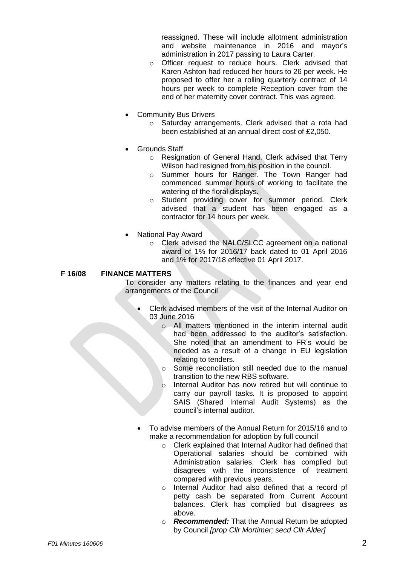reassigned. These will include allotment administration and website maintenance in 2016 and mayor's administration in 2017 passing to Laura Carter.

- o Officer request to reduce hours. Clerk advised that Karen Ashton had reduced her hours to 26 per week. He proposed to offer her a rolling quarterly contract of 14 hours per week to complete Reception cover from the end of her maternity cover contract. This was agreed.
- Community Bus Drivers
	- o Saturday arrangements. Clerk advised that a rota had been established at an annual direct cost of £2,050.
- Grounds Staff
	- o Resignation of General Hand. Clerk advised that Terry Wilson had resigned from his position in the council.
	- o Summer hours for Ranger. The Town Ranger had commenced summer hours of working to facilitate the watering of the floral displays.
	- o Student providing cover for summer period. Clerk advised that a student has been engaged as a contractor for 14 hours per week.
- National Pay Award
	- o Clerk advised the NALC/SLCC agreement on a national award of 1% for 2016/17 back dated to 01 April 2016 and 1% for 2017/18 effective 01 April 2017.

**F 16/08 FINANCE MATTERS**

To consider any matters relating to the finances and year end arrangements of the Council

- Clerk advised members of the visit of the Internal Auditor on 03 June 2016
	- o All matters mentioned in the interim internal audit had been addressed to the auditor's satisfaction. She noted that an amendment to FR's would be needed as a result of a change in EU legislation relating to tenders.
	- o Some reconciliation still needed due to the manual transition to the new RBS software.
	- o Internal Auditor has now retired but will continue to carry our payroll tasks. It is proposed to appoint SAIS (Shared Internal Audit Systems) as the council's internal auditor.
- To advise members of the Annual Return for 2015/16 and to make a recommendation for adoption by full council
	- o Clerk explained that Internal Auditor had defined that Operational salaries should be combined with Administration salaries. Clerk has complied but disagrees with the inconsistence of treatment compared with previous years.
	- o Internal Auditor had also defined that a record pf petty cash be separated from Current Account balances. Clerk has complied but disagrees as above.
	- o *Recommended:* That the Annual Return be adopted by Council *[prop Cllr Mortimer; secd Cllr Alder]*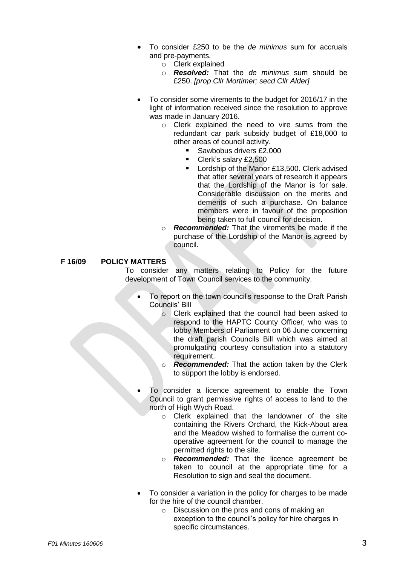- To consider £250 to be the *de minimus* sum for accruals and pre-payments.
	- o Clerk explained
	- o *Resolved:* That the *de minimus* sum should be £250. *[prop Cllr Mortimer; secd Cllr Alder]*
- To consider some virements to the budget for 2016/17 in the light of information received since the resolution to approve was made in January 2016.
	- o Clerk explained the need to vire sums from the redundant car park subsidy budget of £18,000 to other areas of council activity.
		- Sawbobus drivers £2,000
		- Clerk's salary £2,500
		- Lordship of the Manor £13,500. Clerk advised that after several years of research it appears that the Lordship of the Manor is for sale. Considerable discussion on the merits and demerits of such a purchase. On balance members were in favour of the proposition being taken to full council for decision.
	- o *Recommended:* That the virements be made if the purchase of the Lordship of the Manor is agreed by council.

**F 16/09 POLICY MATTERS**

To consider any matters relating to Policy for the future development of Town Council services to the community.

- To report on the town council's response to the Draft Parish Councils' Bill
	- o Clerk explained that the council had been asked to respond to the HAPTC County Officer, who was to lobby Members of Parliament on 06 June concerning the draft parish Councils Bill which was aimed at promulgating courtesy consultation into a statutory requirement.
	- o *Recommended:* That the action taken by the Clerk to support the lobby is endorsed.
- To consider a licence agreement to enable the Town Council to grant permissive rights of access to land to the north of High Wych Road.
	- o Clerk explained that the landowner of the site containing the Rivers Orchard, the Kick-About area and the Meadow wished to formalise the current cooperative agreement for the council to manage the permitted rights to the site.
	- o *Recommended:* That the licence agreement be taken to council at the appropriate time for a Resolution to sign and seal the document.
- To consider a variation in the policy for charges to be made for the hire of the council chamber.
	- o Discussion on the pros and cons of making an exception to the council's policy for hire charges in specific circumstances.